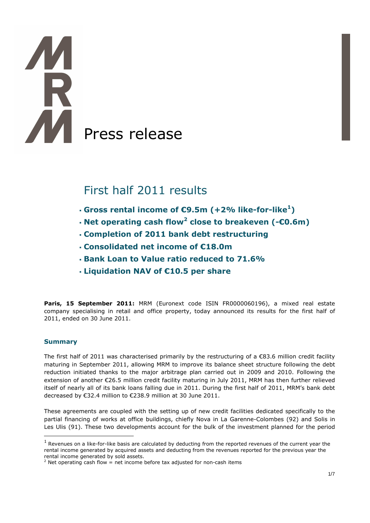# **TAR** Press release

# First half 2011 results

- **Gross rental income of €9.5m (+2% like-for-like<sup>1</sup> )**
- **Net operating cash flow<sup>2</sup> close to breakeven (-€0.6m)**
- **Completion of 2011 bank debt restructuring**
- **Consolidated net income of €18.0m**
- **Bank Loan to Value ratio reduced to 71.6%**
- **Liquidation NAV of €10.5 per share**

Paris, 15 September 2011: MRM (Euronext code ISIN FR0000060196), a mixed real estate company specialising in retail and office property, today announced its results for the first half of 2011, ended on 30 June 2011.

# **Summary**

The first half of 2011 was characterised primarily by the restructuring of a €83.6 million credit facility maturing in September 2011, allowing MRM to improve its balance sheet structure following the debt reduction initiated thanks to the major arbitrage plan carried out in 2009 and 2010. Following the extension of another €26.5 million credit facility maturing in July 2011, MRM has then further relieved itself of nearly all of its bank loans falling due in 2011. During the first half of 2011, MRM's bank debt decreased by €32.4 million to €238.9 million at 30 June 2011.

These agreements are coupled with the setting up of new credit facilities dedicated specifically to the partial financing of works at office buildings, chiefly Nova in La Garenne-Colombes (92) and Solis in Les Ulis (91). These two developments account for the bulk of the investment planned for the period  $\overline{a}$ 

 $<sup>1</sup>$  Revenues on a like-for-like basis are calculated by deducting from the reported revenues of the current year the</sup> rental income generated by acquired assets and deducting from the revenues reported for the previous year the rental income generated by sold assets.

 $2$  Net operating cash flow = net income before tax adjusted for non-cash items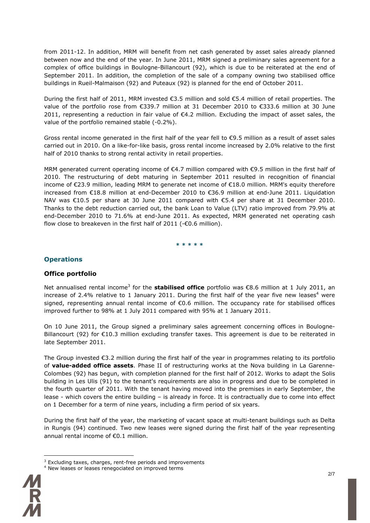from 2011-12. In addition, MRM will benefit from net cash generated by asset sales already planned between now and the end of the year. In June 2011, MRM signed a preliminary sales agreement for a complex of office buildings in Boulogne-Billancourt (92), which is due to be reiterated at the end of September 2011. In addition, the completion of the sale of a company owning two stabilised office buildings in Rueil-Malmaison (92) and Puteaux (92) is planned for the end of October 2011.

During the first half of 2011, MRM invested €3.5 million and sold €5.4 million of retail properties. The value of the portfolio rose from €339.7 million at 31 December 2010 to €333.6 million at 30 June 2011, representing a reduction in fair value of €4.2 million. Excluding the impact of asset sales, the value of the portfolio remained stable (-0.2%).

Gross rental income generated in the first half of the year fell to €9.5 million as a result of asset sales carried out in 2010. On a like-for-like basis, gross rental income increased by 2.0% relative to the first half of 2010 thanks to strong rental activity in retail properties.

MRM generated current operating income of €4.7 million compared with €9.5 million in the first half of 2010. The restructuring of debt maturing in September 2011 resulted in recognition of financial income of €23.9 million, leading MRM to generate net income of €18.0 million. MRM's equity therefore increased from €18.8 million at end-December 2010 to €36.9 million at end-June 2011. Liquidation NAV was €10.5 per share at 30 June 2011 compared with €5.4 per share at 31 December 2010. Thanks to the debt reduction carried out, the bank Loan to Value (LTV) ratio improved from 79.9% at end-December 2010 to 71.6% at end-June 2011. As expected, MRM generated net operating cash flow close to breakeven in the first half of 2011 (-€0.6 million).

**\* \* \* \* \*** 

## **Operations**

#### **Office portfolio**

Net annualised rental income<sup>3</sup> for the stabilised office portfolio was €8.6 million at 1 July 2011, an increase of 2.4% relative to 1 January 2011. During the first half of the year five new leases<sup>4</sup> were signed, representing annual rental income of €0.6 million. The occupancy rate for stabilised offices improved further to 98% at 1 July 2011 compared with 95% at 1 January 2011.

On 10 June 2011, the Group signed a preliminary sales agreement concerning offices in Boulogne-Billancourt (92) for €10.3 million excluding transfer taxes. This agreement is due to be reiterated in late September 2011.

The Group invested €3.2 million during the first half of the year in programmes relating to its portfolio of **value-added office assets**. Phase II of restructuring works at the Nova building in La Garenne-Colombes (92) has begun, with completion planned for the first half of 2012. Works to adapt the Solis building in Les Ulis (91) to the tenant's requirements are also in progress and due to be completed in the fourth quarter of 2011. With the tenant having moved into the premises in early September, the lease - which covers the entire building – is already in force. It is contractually due to come into effect on 1 December for a term of nine years, including a firm period of six years.

During the first half of the year, the marketing of vacant space at multi-tenant buildings such as Delta in Rungis (94) continued. Two new leases were signed during the first half of the year representing annual rental income of €0.1 million.

<sup>4</sup> New leases or leases renegociated on improved terms



 $\overline{a}$ 

 $3$  Excluding taxes, charges, rent-free periods and improvements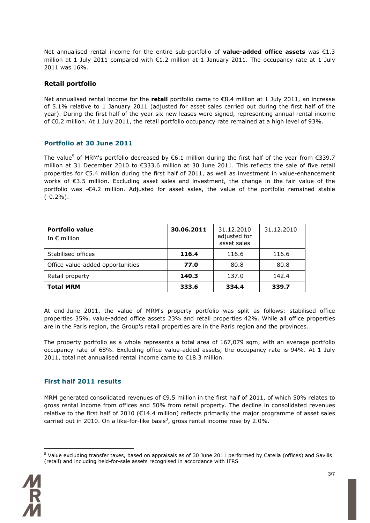Net annualised rental income for the entire sub-portfolio of **value-added office assets** was €1.3 million at 1 July 2011 compared with €1.2 million at 1 January 2011. The occupancy rate at 1 July 2011 was 16%.

#### **Retail portfolio**

Net annualised rental income for the **retail** portfolio came to €8.4 million at 1 July 2011, an increase of 5.1% relative to 1 January 2011 (adjusted for asset sales carried out during the first half of the year). During the first half of the year six new leases were signed, representing annual rental income of €0.2 million. At 1 July 2011, the retail portfolio occupancy rate remained at a high level of 93%.

#### **Portfolio at 30 June 2011**

The value<sup>5</sup> of MRM's portfolio decreased by  $\epsilon$ 6.1 million during the first half of the year from  $\epsilon$ 339.7 million at 31 December 2010 to €333.6 million at 30 June 2011. This reflects the sale of five retail properties for €5.4 million during the first half of 2011, as well as investment in value-enhancement works of €3.5 million. Excluding asset sales and investment, the change in the fair value of the portfolio was -€4.2 million. Adjusted for asset sales, the value of the portfolio remained stable  $(-0.2\%)$ .

| Portfolio value<br>In $\epsilon$ million | 30.06.2011 | 31.12.2010<br>adjusted for<br>asset sales | 31.12.2010 |
|------------------------------------------|------------|-------------------------------------------|------------|
| Stabilised offices                       | 116.4      | 116.6                                     | 116.6      |
| Office value-added opportunities         | 77.0       | 80.8                                      | 80.8       |
| Retail property                          | 140.3      | 137.0                                     | 142.4      |
| <b>Total MRM</b>                         | 333.6      | 334.4                                     | 339.7      |

At end-June 2011, the value of MRM's property portfolio was split as follows: stabilised office properties 35%, value-added office assets 23% and retail properties 42%. While all office properties are in the Paris region, the Group's retail properties are in the Paris region and the provinces.

The property portfolio as a whole represents a total area of 167,079 sqm, with an average portfolio occupancy rate of 68%. Excluding office value-added assets, the occupancy rate is 94%. At 1 July 2011, total net annualised rental income came to €18.3 million.

#### **First half 2011 results**

MRM generated consolidated revenues of €9.5 million in the first half of 2011, of which 50% relates to gross rental income from offices and 50% from retail property. The decline in consolidated revenues relative to the first half of 2010 ( $\epsilon$ 14.4 million) reflects primarily the major programme of asset sales carried out in 2010. On a like-for-like basis<sup>3</sup>, gross rental income rose by 2.0%.

<sup>&</sup>lt;sup>5</sup> Value excluding transfer taxes, based on appraisals as of 30 June 2011 performed by Catella (offices) and Savills (retail) and including held-for-sale assets recognised in accordance with IFRS



 $\overline{a}$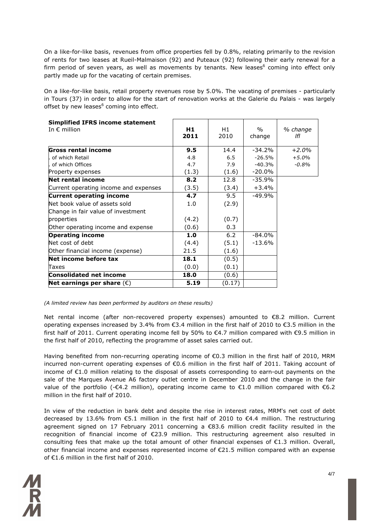On a like-for-like basis, revenues from office properties fell by 0.8%, relating primarily to the revision of rents for two leases at Rueil-Malmaison (92) and Puteaux (92) following their early renewal for a firm period of seven years, as well as movements by tenants. New leases<sup>6</sup> coming into effect only partly made up for the vacating of certain premises.

On a like-for-like basis, retail property revenues rose by 5.0%. The vacating of premises - particularly in Tours (37) in order to allow for the start of renovation works at the Galerie du Palais - was largely offset by new leases<sup>6</sup> coming into effect.

| <b>Simplified IFRS income statement</b><br>In $\epsilon$ million | H <sub>1</sub><br>2011 | H1<br>2010 | $\frac{0}{0}$<br>change | % change<br>lfl |
|------------------------------------------------------------------|------------------------|------------|-------------------------|-----------------|
| Gross rental income                                              | 9.5                    | 14.4       | $-34.2%$                | $+2.0%$         |
| of which Retail                                                  | 4.8                    | 6.5        | $-26.5%$                | $+5.0%$         |
| of which Offices                                                 | 4.7                    | 7.9        | $-40.3%$                | $-0.8%$         |
| Property expenses                                                | (1.3)                  | (1.6)      | $-20.0\%$               |                 |
| <b>Net rental income</b>                                         | 8.2                    | 12.8       | $-35.9%$                |                 |
| Current operating income and expenses                            | (3.5)                  | (3.4)      | $+3.4%$                 |                 |
| <b>Current operating income</b>                                  | 4.7                    | 9.5        | $-49.9%$                |                 |
| Net book value of assets sold                                    | 1.0                    | (2.9)      |                         |                 |
| Change in fair value of investment                               |                        |            |                         |                 |
| properties                                                       | (4.2)                  | (0.7)      |                         |                 |
| Other operating income and expense                               | (0.6)                  | 0.3        |                         |                 |
| <b>Operating income</b>                                          | 1.0                    | 6.2        | $-84.0%$                |                 |
| Net cost of debt                                                 | (4.4)                  | (5.1)      | $-13.6%$                |                 |
| Other financial income (expense)                                 | 21.5                   | (1.6)      |                         |                 |
| Net income before tax                                            | 18.1                   | (0.5)      |                         |                 |
| Taxes                                                            | (0.0)                  | (0.1)      |                         |                 |
| Consolidated net income                                          | 18.0                   | (0.6)      |                         |                 |
| Net earnings per share $(\epsilon)$                              | 5.19                   | (0.17)     |                         |                 |

*(A limited review has been performed by auditors on these results)* 

Net rental income (after non-recovered property expenses) amounted to €8.2 million. Current operating expenses increased by 3.4% from €3.4 million in the first half of 2010 to €3.5 million in the first half of 2011. Current operating income fell by 50% to €4.7 million compared with €9.5 million in the first half of 2010, reflecting the programme of asset sales carried out.

Having benefited from non-recurring operating income of €0.3 million in the first half of 2010, MRM incurred non-current operating expenses of €0.6 million in the first half of 2011. Taking account of income of €1.0 million relating to the disposal of assets corresponding to earn-out payments on the sale of the Marques Avenue A6 factory outlet centre in December 2010 and the change in the fair value of the portfolio (-€4.2 million), operating income came to €1.0 million compared with €6.2 million in the first half of 2010.

In view of the reduction in bank debt and despite the rise in interest rates, MRM's net cost of debt decreased by 13.6% from €5.1 million in the first half of 2010 to €4.4 million. The restructuring agreement signed on 17 February 2011 concerning a €83.6 million credit facility resulted in the recognition of financial income of €23.9 million. This restructuring agreement also resulted in consulting fees that make up the total amount of other financial expenses of  $\epsilon$ 1.3 million. Overall, other financial income and expenses represented income of €21.5 million compared with an expense of €1.6 million in the first half of 2010.

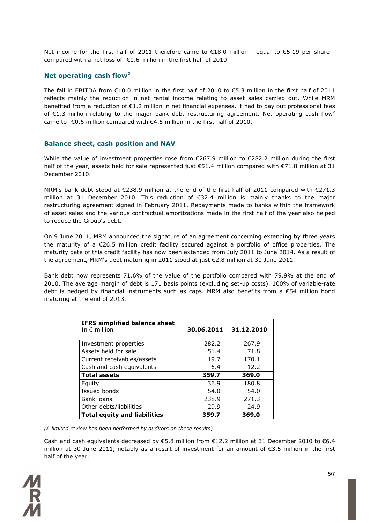Net income for the first half of 2011 therefore came to €18.0 million - equal to €5.19 per share compared with a net loss of -€0.6 million in the first half of 2010.

## **Net operating cash flow<sup>2</sup>**

The fall in EBITDA from €10.0 million in the first half of 2010 to €5.3 million in the first half of 2011 reflects mainly the reduction in net rental income relating to asset sales carried out. While MRM benefited from a reduction of €1.2 million in net financial expenses, it had to pay out professional fees of  $\epsilon$ 1.3 million relating to the major bank debt restructuring agreement. Net operating cash flow<sup>2</sup> came to - $\epsilon$ 0.6 million compared with  $\epsilon$ 4.5 million in the first half of 2010.

#### **Balance sheet, cash position and NAV**

While the value of investment properties rose from €267.9 million to €282.2 million during the first half of the year, assets held for sale represented just €51.4 million compared with €71.8 million at 31 December 2010.

MRM's bank debt stood at €238.9 million at the end of the first half of 2011 compared with €271.3 million at 31 December 2010. This reduction of €32.4 million is mainly thanks to the major restructuring agreement signed in February 2011. Repayments made to banks within the framework of asset sales and the various contractual amortizations made in the first half of the year also helped to reduce the Group's debt.

On 9 June 2011, MRM announced the signature of an agreement concerning extending by three years the maturity of a €26.5 million credit facility secured against a portfolio of office properties. The maturity date of this credit facility has now been extended from July 2011 to June 2014. As a result of the agreement, MRM's debt maturing in 2011 stood at just €2.8 million at 30 June 2011.

Bank debt now represents 71.6% of the value of the portfolio compared with 79.9% at the end of 2010. The average margin of debt is 171 basis points (excluding set-up costs). 100% of variable-rate debt is hedged by financial instruments such as caps. MRM also benefits from a €54 million bond maturing at the end of 2013.

| <b>IFRS simplified balance sheet</b><br>In $\epsilon$ million | 30.06.2011 | 31.12.2010 |
|---------------------------------------------------------------|------------|------------|
| Investment properties                                         | 282.2      | 267.9      |
| Assets held for sale                                          | 51.4       | 71.8       |
| Current receivables/assets                                    | 19.7       | 170.1      |
| Cash and cash equivalents                                     | 6.4        | 12.2       |
| <b>Total assets</b>                                           | 359.7      | 369.0      |
| Equity                                                        | 36.9       | 180.8      |
| Issued bonds                                                  | 54.0       | 54.0       |
| Bank loans                                                    | 238.9      | 271.3      |
| Other debts/liabilities                                       | 29.9       | 24.9       |
| <b>Total equity and liabilities</b>                           | 359.7      | 369.0      |

*(A limited review has been performed by auditors on these results)* 

Cash and cash equivalents decreased by  $\epsilon$ 5.8 million from  $\epsilon$ 12.2 million at 31 December 2010 to  $\epsilon$ 6.4 million at 30 June 2011, notably as a result of investment for an amount of €3.5 million in the first half of the year.

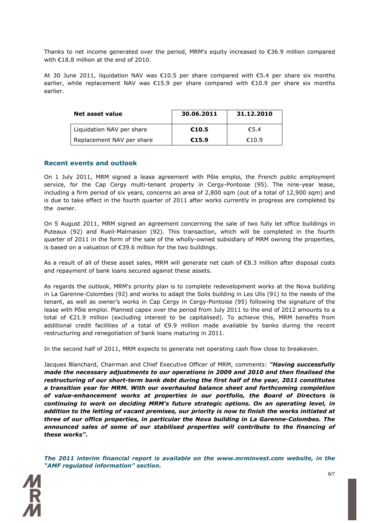Thanks to net income generated over the period, MRM's equity increased to  $\epsilon$ 36.9 million compared with €18.8 million at the end of 2010.

At 30 June 2011, liquidation NAV was €10.5 per share compared with €5.4 per share six months earlier, while replacement NAV was €15.9 per share compared with €10.9 per share six months earlier.

| Net asset value           | 30.06.2011 | 31.12.2010 |
|---------------------------|------------|------------|
| Liquidation NAV per share | €10.5      | €5.4       |
| Replacement NAV per share | €15.9      | €10.9      |

#### **Recent events and outlook**

On 1 July 2011, MRM signed a lease agreement with Pôle emploi*,* the French public employment service, for the Cap Cergy multi-tenant property in Cergy-Pontoise (95). The nine-year lease, including a firm period of six years, concerns an area of 2,800 sqm (out of a total of 12,900 sqm) and is due to take effect in the fourth quarter of 2011 after works currently in progress are completed by the owner.

On 5 August 2011, MRM signed an agreement concerning the sale of two fully let office buildings in Puteaux (92) and Rueil-Malmaison (92). This transaction, which will be completed in the fourth quarter of 2011 in the form of the sale of the wholly-owned subsidiary of MRM owning the properties, is based on a valuation of €39.6 million for the two buildings.

As a result of all of these asset sales, MRM will generate net cash of €8.3 million after disposal costs and repayment of bank loans secured against these assets.

As regards the outlook, MRM's priority plan is to complete redevelopment works at the Nova building in La Garenne-Colombes (92) and works to adapt the Solis building in Les Ulis (91) to the needs of the tenant, as well as owner's works in Cap Cergy in Cergy-Pontoise (95) following the signature of the lease with Pôle emploi. Planned capex over the period from July 2011 to the end of 2012 amounts to a total of €21.9 million (excluding interest to be capitalised). To achieve this, MRM benefits from additional credit facilities of a total of €9.9 million made available by banks during the recent restructuring and renegotiation of bank loans maturing in 2011.

In the second half of 2011, MRM expects to generate net operating cash flow close to breakeven.

Jacques Blanchard, Chairman and Chief Executive Officer of MRM, comments: *"Having successfully made the necessary adjustments to our operations in 2009 and 2010 and then finalised the restructuring of our short-term bank debt during the first half of the year, 2011 constitutes a transition year for MRM. With our overhauled balance sheet and forthcoming completion of value-enhancement works at properties in our portfolio, the Board of Directors is continuing to work on deciding MRM's future strategic options. On an operating level, in addition to the letting of vacant premises, our priority is now to finish the works initiated at three of our office properties, in particular the Nova building in La Garenne-Colombes. The announced sales of some of our stabilised properties will contribute to the financing of these works".*

*The 2011 interim financial report is available on the www.mrminvest.com website, in the "AMF regulated information" section.*